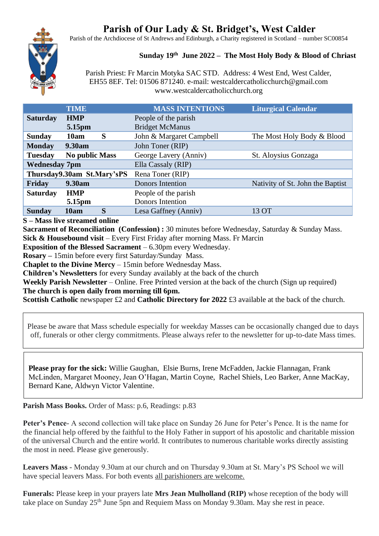# **Parish of Our Lady & St. Bridget's, West Calder**

Parish of the Archdiocese of St Andrews and Edinburgh, a Charity registered in Scotland – number SC00854

## **Sunday 19 th June 2022 – The Most Holy Body & Blood of Chriast**

Parish Priest: Fr Marcin Motyka SAC STD. Address: 4 West End, West Calder, EH55 8EF. Tel: 01506 871240. e-mail: westcaldercatholicchurch@gmail.com www.westcaldercatholicchurch.org

|                      | <b>TIME</b>                | <b>MASS INTENTIONS</b>   | <b>Liturgical Calendar</b>       |
|----------------------|----------------------------|--------------------------|----------------------------------|
| <b>Saturday</b>      | <b>HMP</b>                 | People of the parish     |                                  |
|                      | 5.15pm                     | <b>Bridget McManus</b>   |                                  |
| <b>Sunday</b>        | S<br>10am                  | John & Margaret Campbell | The Most Holy Body & Blood       |
| <b>Monday</b>        | <b>9.30am</b>              | John Toner (RIP)         |                                  |
| <b>Tuesday</b>       | <b>No public Mass</b>      | George Lavery (Anniv)    | St. Aloysius Gonzaga             |
| <b>Wednesday 7pm</b> |                            | Ella Cassaly (RIP)       |                                  |
|                      | Thursday9.30am St.Mary'sPS | Rena Toner (RIP)         |                                  |
| Friday               | 9.30am                     | Donors Intention         | Nativity of St. John the Baptist |
| <b>Saturday</b>      | <b>HMP</b>                 | People of the parish     |                                  |
|                      | 5.15pm                     | <b>Donors Intention</b>  |                                  |
| <b>Sunday</b>        | S<br>10am                  | Lesa Gaffney (Anniv)     | 13 OT                            |

**S – Mass live streamed online**

**Sacrament of Reconciliation (Confession) :** 30 minutes before Wednesday, Saturday & Sunday Mass. **Sick & Housebound visit** – Every First Friday after morning Mass. Fr Marcin

**Exposition of the Blessed Sacrament** – 6.30pm every Wednesday.

**Rosary –** 15min before every first Saturday/Sunday Mass.

**Chaplet to the Divine Mercy** – 15min before Wednesday Mass.

**Children's Newsletters** for every Sunday availably at the back of the church

**Weekly Parish Newsletter** – Online. Free Printed version at the back of the church (Sign up required) **The church is open daily from morning till 6pm.** 

**Scottish Catholic newspaper £2 and Catholic Directory for 2022 £3 available at the back of the church.** 

Please be aware that Mass schedule especially for weekday Masses can be occasionally changed due to days off, funerals or other clergy commitments. Please always refer to the newsletter for up-to-date Mass times.

**Please pray for the sick:** Willie Gaughan, Elsie Burns, Irene McFadden, Jackie Flannagan, Frank McLinden, Margaret Mooney, Jean O'Hagan, Martin Coyne, Rachel Shiels, Leo Barker, Anne MacKay, Bernard Kane, Aldwyn Victor Valentine.

**Parish Mass Books.** Order of Mass: p.6, Readings: p.83

**Peter's Pence**- A second collection will take place on Sunday 26 June for Peter's Pence. It is the name for the financial help offered by the faithful to the Holy Father in support of his apostolic and charitable mission of the universal Church and the entire world. It contributes to numerous charitable works directly assisting the most in need. Please give generously.

**Leavers Mass** - Monday 9.30am at our church and on Thursday 9.30am at St. Mary's PS School we will have special leavers Mass. For both events all parishioners are welcome.

**Funerals:** Please keep in your prayers late **Mrs Jean Mulholland (RIP)** whose reception of the body will take place on Sunday 25<sup>th</sup> June 5pn and Requiem Mass on Monday 9.30am. May she rest in peace.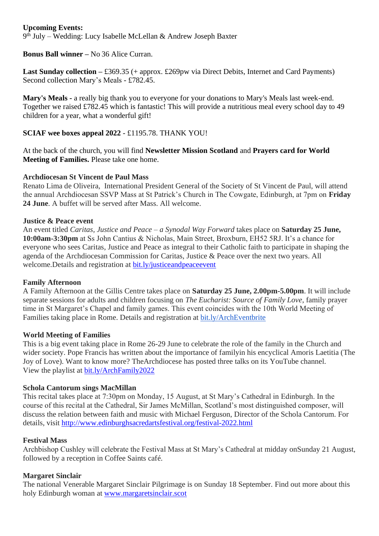## **Upcoming Events:**

9 th July – Wedding: Lucy Isabelle McLellan & Andrew Joseph Baxter

## **Bonus Ball winner –** No 36 Alice Curran.

Last Sunday collection – £369.35 (+ approx. £269pw via Direct Debits, Internet and Card Payments) Second collection Mary's Meals - £782.45.

**Mary's Meals -** a really big thank you to everyone for your donations to Mary's Meals last week-end. Together we raised £782.45 which is fantastic! This will provide a nutritious meal every school day to 49 children for a year, what a wonderful gift!

**SCIAF wee boxes appeal 2022** - £1195.78. THANK YOU!

At the back of the church, you will find **Newsletter Mission Scotland** and **Prayers card for World Meeting of Families.** Please take one home.

#### **Archdiocesan St Vincent de Paul Mass**

Renato Lima de Oliveira, International President General of the Society of St Vincent de Paul, will attend the annual Archdiocesan SSVP Mass at St Patrick's Church in The Cowgate, Edinburgh, at 7pm on **Friday 24 June**. A buffet will be served after Mass. All welcome.

#### **Justice & Peace event**

An event titled *Caritas, Justice and Peace – a Synodal Way Forward* takes place on **Saturday 25 June, 10:00am-3:30pm** at Ss John Cantius & Nicholas, Main Street, Broxburn, EH52 5RJ. It's a chance for everyone who sees Caritas, Justice and Peace as integral to their Catholic faith to participate in shaping the agenda of the Archdiocesan Commission for Caritas, Justice & Peace over the next two years. All welcome. Details and registration at bit.ly/justiceand peace event

#### **Family Afternoon**

A Family Afternoon at the Gillis Centre takes place on **Saturday 25 June, 2.00pm-5.00pm**. It will include separate sessions for adults and children focusing on *The Eucharist: Source of Family Love*, family prayer time in St Margaret's Chapel and family games. This event coincides with the 10th World Meeting of Families taking place in Rome. Details and registration at [bit.ly/ArchEventbrite](https://bit.ly/ArchEventbrite)

#### **World Meeting of Families**

This is a big event taking place in Rome 26-29 June to celebrate the role of the family in the Church and wider society. Pope Francis has written about the importance of familyin his encyclical Amoris Laetitia (The Joy of Love). Want to know more? TheArchdiocese has posted three talks on its YouTube channel. View the playlist at [bit.ly/ArchFamily2022](https://www.youtube.com/playlist?list=PLQv_xMj23KQgSetlM_e3kCFxdy9Tya7B2)

## **Schola Cantorum sings MacMillan**

This recital takes place at 7:30pm on Monday, 15 August, at St Mary's Cathedral in Edinburgh. In the course of this recital at the Cathedral, Sir James McMillan, Scotland's most distinguished composer, will discuss the relation between faith and music with Michael Ferguson, Director of the Schola Cantorum. For details, visit <http://www.edinburghsacredartsfestival.org/festival-2022.html>

## **Festival Mass**

Archbishop Cushley will celebrate the Festival Mass at St Mary's Cathedral at midday onSunday 21 August, followed by a reception in Coffee Saints café.

## **Margaret Sinclair**

The national Venerable Margaret Sinclair Pilgrimage is on Sunday 18 September. Find out more about this holy Edinburgh woman at [www.margaretsinclair.scot](http://www.margaretsinclair.scot/)